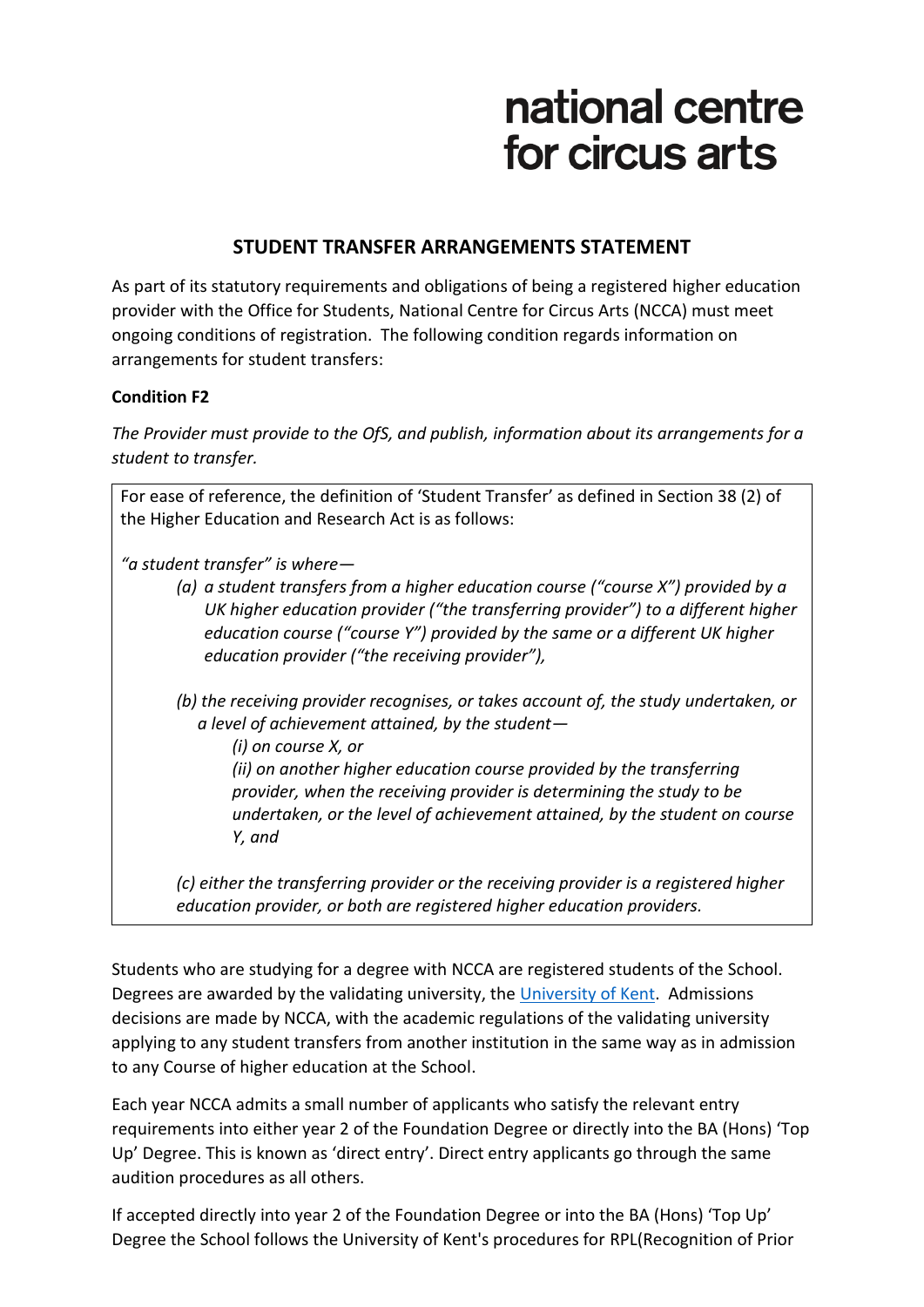## national centre for circus arts

## **STUDENT TRANSFER ARRANGEMENTS STATEMENT**

As part of its statutory requirements and obligations of being a registered higher education provider with the Office for Students, National Centre for Circus Arts (NCCA) must meet ongoing conditions of registration. The following condition regards information on arrangements for student transfers:

## **Condition F2**

*The Provider must provide to the OfS, and publish, information about its arrangements for a student to transfer.*

For ease of reference, the definition of 'Student Transfer' as defined in Section 38 (2) of the Higher Education and Research Act is as follows:

*"a student transfer" is where—*

- *(a) a student transfers from a higher education course ("course X") provided by a UK higher education provider ("the transferring provider") to a different higher education course ("course Y") provided by the same or a different UK higher education provider ("the receiving provider"),*
- *(b) the receiving provider recognises, or takes account of, the study undertaken, or a level of achievement attained, by the student—*

*(i) on course X, or (ii) on another higher education course provided by the transferring provider, when the receiving provider is determining the study to be undertaken, or the level of achievement attained, by the student on course Y, and*

*(c) either the transferring provider or the receiving provider is a registered higher education provider, or both are registered higher education providers.*

Students who are studying for a degree with NCCA are registered students of the School. Degrees are awarded by the validating university, the [University of Kent.](https://www.kent.ac.uk/) Admissions decisions are made by NCCA, with the academic regulations of the validating university applying to any student transfers from another institution in the same way as in admission to any Course of higher education at the School.

Each year NCCA admits a small number of applicants who satisfy the relevant entry requirements into either year 2 of the Foundation Degree or directly into the BA (Hons) 'Top Up' Degree. This is known as 'direct entry'. Direct entry applicants go through the same audition procedures as all others.

If accepted directly into year 2 of the Foundation Degree or into the BA (Hons) 'Top Up' Degree the School follows the University of Kent's procedures for RPL(Recognition of Prior